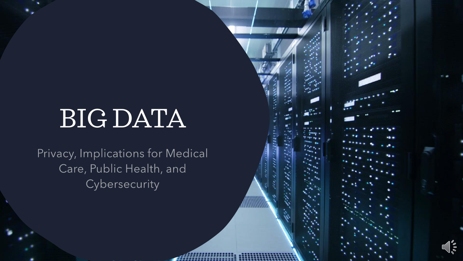# BIG DATA

Privacy, Implications for Medical Care, Public Health, and Cybersecurity

 $\frac{1}{2}$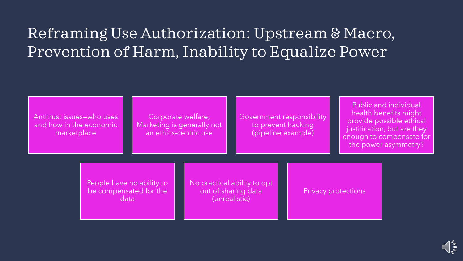## Reframing Use Authorization: Upstream & Macro, Prevention of Harm, Inability to Equalize Power

Antitrust issues—who uses and how in the economic marketplace

Corporate welfare; Marketing is generally not an ethics-centric use

Government responsibility to prevent hacking (pipeline example)

Public and individual health benefits might provide possible ethical justification, but are they enough to compensate for the power asymmetry?

People have no ability to be compensated for the data

No practical ability to opt out of sharing data (unrealistic)

Privacy protections

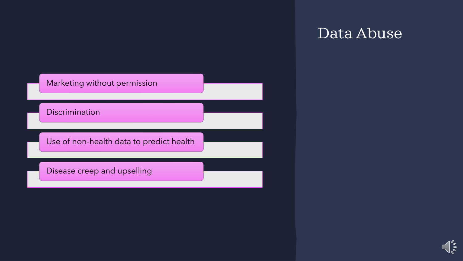

#### Data Abuse

 $\int_{\gamma}^{\gamma}$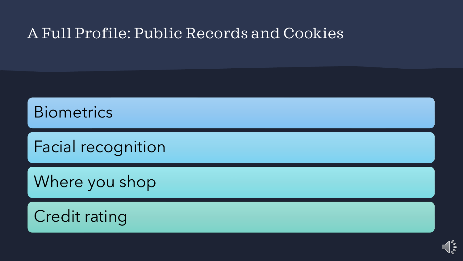#### A Full Profile: Public Records and Cookies

**Biometrics** 

Facial recognition

Where you shop

Credit rating

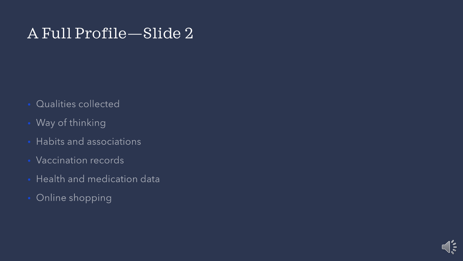#### A Full Profile—Slide 2

- **Qualities collected**
- Way of thinking
- Habits and associations
- Vaccination records
- Health and medication data
- Online shopping

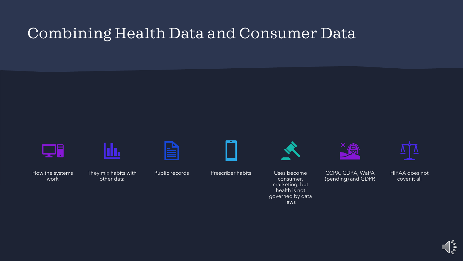#### Combining Health Data and Consumer Data

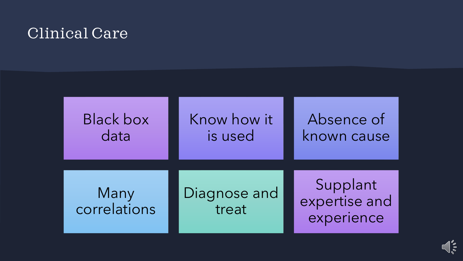#### Clinical Care

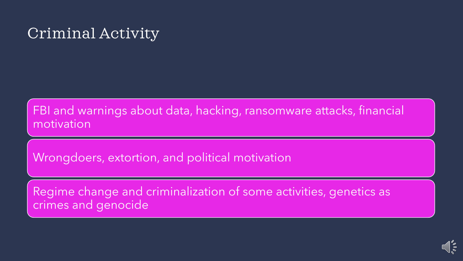## Criminal Activity

FBI and warnings about data, hacking, ransomware attacks, financial motivation

Wrongdoers, extortion, and political motivation

Regime change and criminalization of some activities, genetics as crimes and genocide

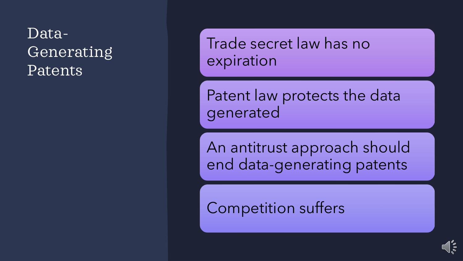Data-Generating Patents

Trade secret law has no expiration

Patent law protects the data generated

An antitrust approach should end data-generating patents

 $\frac{8}{2}$ 

Competition suffers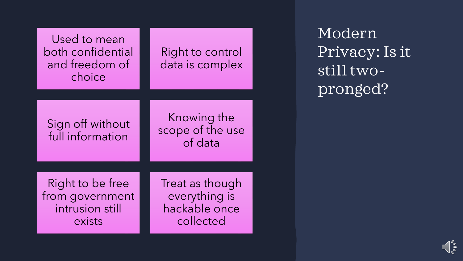| Used to mean<br>both confidential<br>and freedom of<br>choice | Right to control<br>data is complex        |
|---------------------------------------------------------------|--------------------------------------------|
|                                                               |                                            |
| Sign off without<br>full information                          | Knowing the<br>scope of the use<br>of data |
|                                                               |                                            |
| Right to be free<br>from government                           | Treat as though<br>everything is           |
| intrusion still<br>exists                                     | hackable once<br>collected                 |

Modern Privacy: Is it still twopronged?

 $\int_{\phi_0}^{\phi}$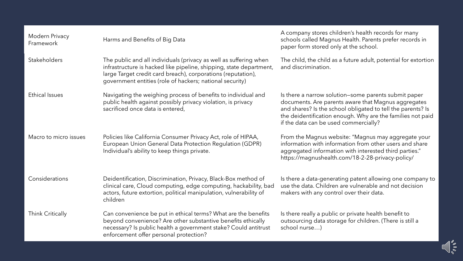| Modern Privacy<br>Framework | Harms and Benefits of Big Data                                                                                                                                                                                                                                       | A company stores children's health records for many<br>schools called Magnus Health. Parents prefer records in<br>paper form stored only at the school.                                                                                                                           |
|-----------------------------|----------------------------------------------------------------------------------------------------------------------------------------------------------------------------------------------------------------------------------------------------------------------|-----------------------------------------------------------------------------------------------------------------------------------------------------------------------------------------------------------------------------------------------------------------------------------|
| Stakeholders                | The public and all individuals (privacy as well as suffering when<br>infrastructure is hacked like pipeline, shipping, state department,<br>large Target credit card breach), corporations (reputation),<br>government entities (role of hackers; national security) | The child, the child as a future adult, potential for extortion<br>and discrimination.                                                                                                                                                                                            |
| <b>Ethical Issues</b>       | Navigating the weighing process of benefits to individual and<br>public health against possibly privacy violation, is privacy<br>sacrificed once data is entered,                                                                                                    | Is there a narrow solution-some parents submit paper<br>documents. Are parents aware that Magnus aggregates<br>and shares? Is the school obligated to tell the parents? Is<br>the deidentification enough. Why are the families not paid<br>if the data can be used commercially? |
| Macro to micro issues       | Policies like California Consumer Privacy Act, role of HIPAA,<br>European Union General Data Protection Regulation (GDPR)<br>Individual's ability to keep things private.                                                                                            | From the Magnus website: "Magnus may aggregate your<br>information with information from other users and share<br>aggregated information with interested third parties."<br>https://magnushealth.com/18-2-28-privacy-policy/                                                      |
| Considerations              | Deidentification, Discrimination, Privacy, Black-Box method of<br>clinical care, Cloud computing, edge computing, hackability, bad<br>actors, future extortion, political manipulation, vulnerability of<br>children                                                 | Is there a data-generating patent allowing one company to<br>use the data. Children are vulnerable and not decision<br>makers with any control over their data.                                                                                                                   |
| Think Critically            | Can convenience be put in ethical terms? What are the benefits<br>beyond convenience? Are other substantive benefits ethically<br>necessary? Is public health a government stake? Could antitrust<br>enforcement offer personal protection?                          | Is there really a public or private health benefit to<br>outsourcing data storage for children. (There is still a<br>school nurse)                                                                                                                                                |

 $\bigcap_{\circ\circ} \mathop{\circ}_{\circ}$